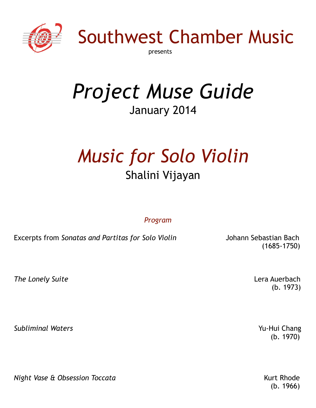

Southwest Chamber Music

presents

# *Project Muse Guide* January 2014

# *Music for Solo Violin* Shalini Vijayan

*Program*

Excerpts from *Sonatas and Partitas for Solo Violin* Johann Sebastian Bach

(1685-1750)

*The Lonely Suite* Lera Auerbach

 $(b. 1973)$ 

**Subliminal Waters Yu-Hui Chang** 

*Night Vase & Obsession Toccata* **Kurt Rhode Kurt Rhode Kurt Rhode** 

 $(b. 1970)$ 

(b. 1966)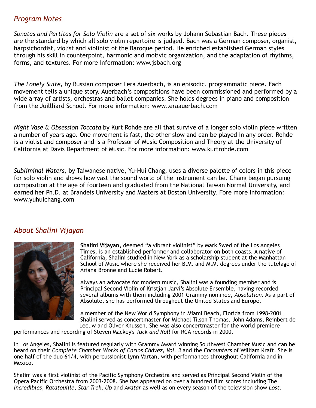### *Program Notes*

*Sonatas and Partitas for Solo Violin* are a set of six works by Johann Sebastian Bach. These pieces are the standard by which all solo violin repertoire is judged. Bach was a German composer, organist, harpsichordist, violist and violinist of the Baroque period. He enriched established German styles through his skill in counterpoint, harmonic and motivic organization, and the adaptation of rhythms, forms, and textures. For more information: www.jsbach.org

*The Lonely Suite,* by Russian composer Lera Auerbach, is an episodic, programmatic piece. Each movement tells a unique story. Auerbach's compositions have been commissioned and performed by a wide array of artists, orchestras and ballet companies. She holds degrees in piano and composition from the Juillliard School. For more information: www.leraauerbach.com

*Night Vase & Obsession Toccata* by Kurt Rohde are all that survive of a longer solo violin piece written a number of years ago. One movement is fast, the other slow and can be played in any order. Rohde is a violist and composer and is a Professor of Music Composition and Theory at the University of California at Davis Department of Music. For more information: www.kurtrohde.com

*Subliminal Waters,* by Taiwanese native, Yu-Hui Chang, uses a diverse palette of colors in this piece for solo violin and shows how vast the sound world of the instrument can be. Chang began pursuing composition at the age of fourteen and graduated from the National Taiwan Normal University, and earned her Ph.D. at Brandeis University and Masters at Boston University. Fore more information: www.yuhuichang.com

## *About Shalini Vijayan*



**Shalini Vijayan,** deemed "a vibrant violinist" by Mark Swed of the Los Angeles Times, is an established performer and collaborator on both coasts. A native of California, Shalini studied in New York as a scholarship student at the Manhattan School of Music where she received her B.M. and M.M. degrees under the tutelage of Ariana Bronne and Lucie Robert.

Always an advocate for modern music, Shalini was a founding member and is Principal Second Violin of Kristjan Jarvi's Absolute Ensemble, having recorded several albums with them including 2001 Grammy nominee, *Absolution*. As a part of Absolute, she has performed throughout the United States and Europe.

A member of the New World Symphony in Miami Beach, Florida from 1998-2001, Shalini served as concertmaster for Michael Tilson Thomas, John Adams, Reinbert de Leeuw and Oliver Knussen. She was also concertmaster for the world premiere

performances and recording of Steven Mackey's *Tuck and Roll* for RCA records in 2000.

In Los Angeles, Shalini is featured regularly with Grammy Award winning Southwest Chamber Music and can be heard on their *Complete Chamber Works of Carlos Chávez, Vol. 3* and the *Encounters* of William Kraft. She is one half of the duo 61/4, with percussionist Lynn Vartan, with performances throughout California and in Mexico.

Shalini was a first violinist of the Pacific Symphony Orchestra and served as Principal Second Violin of the Opera Pacific Orchestra from 2003-2008. She has appeared on over a hundred film scores including The *Incredibles, Ratatouille, Star Trek, Up* and *Avatar* as well as on every season of the television show *Lost*.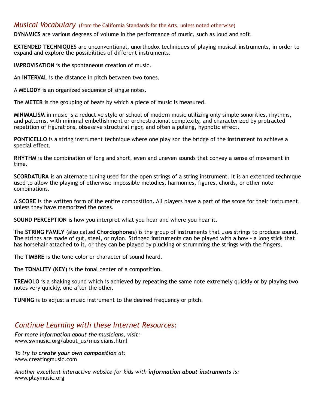#### *Musical Vocabulary* (from the California Standards for the Arts, unless noted otherwise)

**DYNAMICS** are various degrees of volume in the performance of music, such as loud and soft.

**EXTENDED TECHNIQUES** are unconventional, unorthodox techniques of playing musical instruments, in order to expand and explore the possibilities of different instruments.

**IMPROVISATION** is the spontaneous creation of music.

An **INTERVAL** is the distance in pitch between two tones.

A **MELODY** is an organized sequence of single notes.

The **METER** is the grouping of beats by which a piece of music is measured.

**MINIMALISM** in music is a reductive style or school of modern music utilizing only simple sonorities, rhythms, and patterns, with minimal embellishment or orchestrational complexity, and characterized by protracted repetition of figurations, obsessive structural rigor, and often a pulsing, hypnotic effect.

**PONTICELLO** is a string instrument technique where one play son the bridge of the instrument to achieve a special effect.

**RHYTHM** is the combination of long and short, even and uneven sounds that convey a sense of movement in time.

**SCORDATURA** is an alternate tuning used for the open strings of a string instrument. It is an extended technique used to allow the playing of otherwise impossible melodies, harmonies, figures, chords, or other note combinations.

A **SCORE** is the written form of the entire composition. All players have a part of the score for their instrument, unless they have memorized the notes.

**SOUND PERCEPTION** is how you interpret what you hear and where you hear it.

The **STRING FAMILY** (also called **Chordophones**) is the group of instruments that uses strings to produce sound. The strings are made of gut, steel, or nylon. Stringed instruments can be played with a bow - a long stick that has horsehair attached to it, or they can be played by plucking or strumming the strings with the fingers.

The **TIMBRE** is the tone color or character of sound heard.

The **TONALITY (KEY)** is the tonal center of a composition.

**TREMOLO** is a shaking sound which is achieved by repeating the same note extremely quickly or by playing two notes very quickly, one after the other.

**TUNING** is to adjust a music instrument to the desired frequency or pitch.

### *Continue Learning with these Internet Resources:*

*For more information about the musicians, visit:*  www.swmusic.org/about\_us/musicians.html

*To try to create your own composition at:* www.creatingmusic.com

*Another excellent interactive website for kids with information about instruments is:*  www.playmusic.org